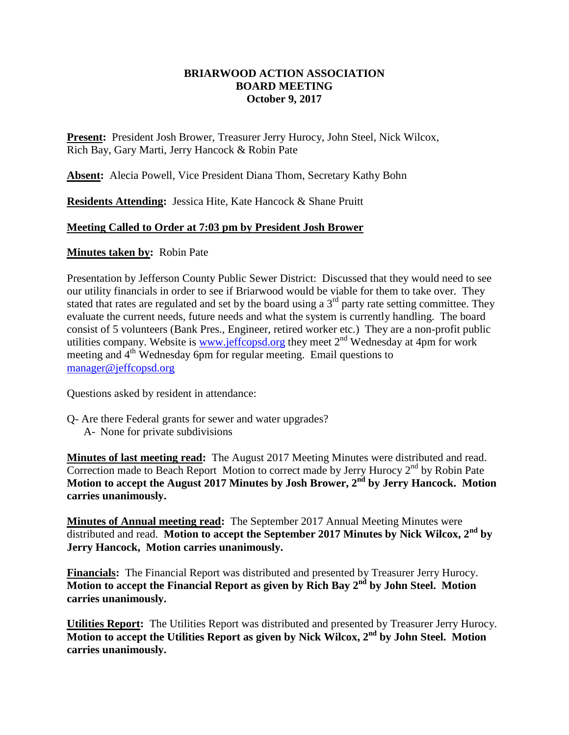#### **BRIARWOOD ACTION ASSOCIATION BOARD MEETING October 9, 2017**

**Present:** President Josh Brower, Treasurer Jerry Hurocy, John Steel, Nick Wilcox, Rich Bay, Gary Marti, Jerry Hancock & Robin Pate

**Absent:** Alecia Powell, Vice President Diana Thom, Secretary Kathy Bohn

**Residents Attending:** Jessica Hite, Kate Hancock & Shane Pruitt

## **Meeting Called to Order at 7:03 pm by President Josh Brower**

## **Minutes taken by:** Robin Pate

Presentation by Jefferson County Public Sewer District: Discussed that they would need to see our utility financials in order to see if Briarwood would be viable for them to take over. They stated that rates are regulated and set by the board using a  $3<sup>rd</sup>$  party rate setting committee. They evaluate the current needs, future needs and what the system is currently handling. The board consist of 5 volunteers (Bank Pres., Engineer, retired worker etc.) They are a non-profit public utilities company. Website is [www.jeffcopsd.org](http://www.jeffcopsd.org/) they meet  $2<sup>nd</sup>$  Wednesday at 4pm for work meeting and  $4<sup>th</sup>$  Wednesday 6pm for regular meeting. Email questions to [manager@jeffcopsd.org](mailto:manager@jeffcopsd.org)

Questions asked by resident in attendance:

- Q- Are there Federal grants for sewer and water upgrades?
	- A- None for private subdivisions

**Minutes of last meeting read:** The August 2017 Meeting Minutes were distributed and read. Correction made to Beach Report Motion to correct made by Jerry Hurocy  $2<sup>nd</sup>$  by Robin Pate **Motion to accept the August 2017 Minutes by Josh Brower, 2nd by Jerry Hancock. Motion carries unanimously.**

**Minutes of Annual meeting read:** The September 2017 Annual Meeting Minutes were distributed and read. **Motion to accept the September 2017 Minutes by Nick Wilcox, 2nd by Jerry Hancock, Motion carries unanimously.**

**Financials:** The Financial Report was distributed and presented by Treasurer Jerry Hurocy. **Motion to accept the Financial Report as given by Rich Bay 2<sup>nd</sup> by John Steel. Motion carries unanimously.**

**Utilities Report:** The Utilities Report was distributed and presented by Treasurer Jerry Hurocy. **Motion to accept the Utilities Report as given by Nick Wilcox, 2nd by John Steel. Motion carries unanimously.**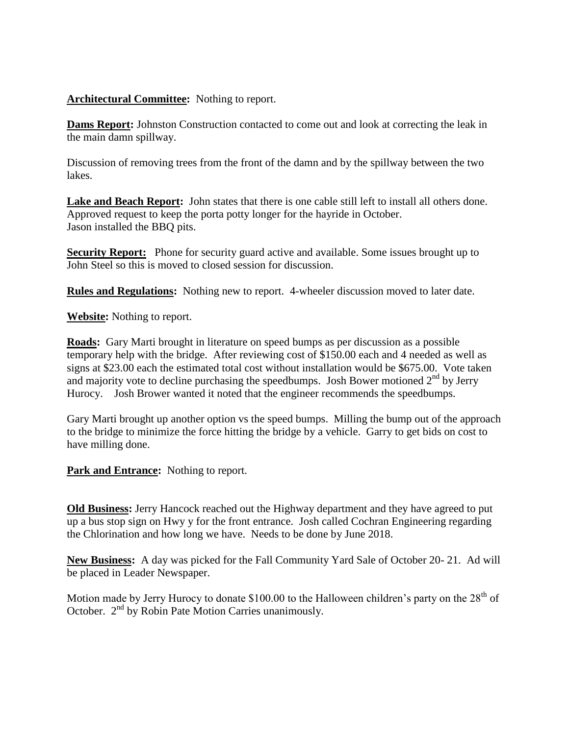#### **Architectural Committee:** Nothing to report.

**Dams Report:** Johnston Construction contacted to come out and look at correcting the leak in the main damn spillway.

Discussion of removing trees from the front of the damn and by the spillway between the two lakes.

Lake and Beach Report: John states that there is one cable still left to install all others done. Approved request to keep the porta potty longer for the hayride in October. Jason installed the BBQ pits.

**Security Report:** Phone for security guard active and available. Some issues brought up to John Steel so this is moved to closed session for discussion.

**Rules and Regulations:** Nothing new to report. 4-wheeler discussion moved to later date.

**Website:** Nothing to report.

**Roads:** Gary Marti brought in literature on speed bumps as per discussion as a possible temporary help with the bridge. After reviewing cost of \$150.00 each and 4 needed as well as signs at \$23.00 each the estimated total cost without installation would be \$675.00. Vote taken and majority vote to decline purchasing the speedbumps. Josh Bower motioned  $2<sup>nd</sup>$  by Jerry Hurocy. Josh Brower wanted it noted that the engineer recommends the speedbumps.

Gary Marti brought up another option vs the speed bumps. Milling the bump out of the approach to the bridge to minimize the force hitting the bridge by a vehicle. Garry to get bids on cost to have milling done.

Park and Entrance: Nothing to report.

**Old Business:** Jerry Hancock reached out the Highway department and they have agreed to put up a bus stop sign on Hwy y for the front entrance. Josh called Cochran Engineering regarding the Chlorination and how long we have. Needs to be done by June 2018.

**New Business:** A day was picked for the Fall Community Yard Sale of October 20- 21. Ad will be placed in Leader Newspaper.

Motion made by Jerry Hurocy to donate \$100.00 to the Halloween children's party on the  $28<sup>th</sup>$  of October. 2<sup>nd</sup> by Robin Pate Motion Carries unanimously.